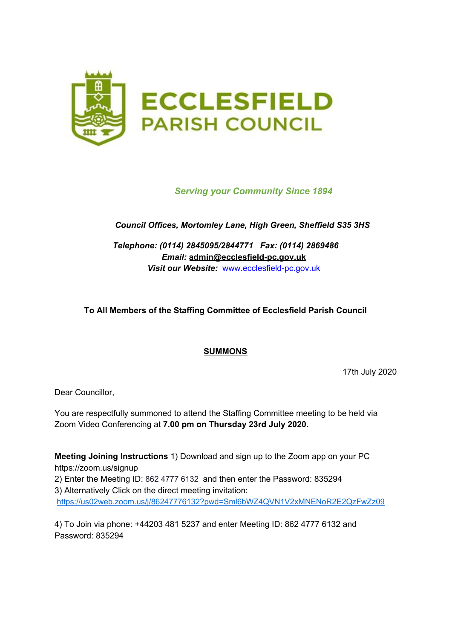

# *Serving your Community Since 1894*

# *Council Offices, Mortomley Lane, High Green, Sheffield S35 3HS*

*Telephone: (0114) 2845095/2844771 Fax: (0114) 2869486 Email:* **admin@ecclesfield-pc.gov.uk** *Visit our Website:* [www.ecclesfield-pc.gov.uk](http://www.ecclesfield-pc.gov.uk/)

# **To All Members of the Staffing Committee of Ecclesfield Parish Council**

#### **SUMMONS**

17th July 2020

Dear Councillor,

You are respectfully summoned to attend the Staffing Committee meeting to be held via Zoom Video Conferencing at **7.00 pm on Thursday 23rd July 2020.**

**Meeting Joining Instructions** 1) Download and sign up to the Zoom app on your PC https://zoom.us/signup 2) Enter the Meeting ID: 862 4777 6132 and then enter the Password: 835294 3) Alternatively Click on the direct meeting invitation: <https://us02web.zoom.us/j/86247776132?pwd=Sml6bWZ4QVN1V2xMNENoR2E2QzFwZz09>

4) To Join via phone: +44203 481 5237 and enter Meeting ID: 862 4777 6132 and Password: 835294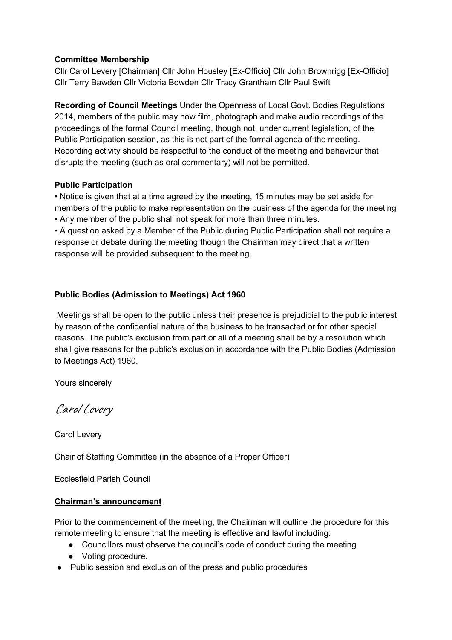### **Committee Membership**

Cllr Carol Levery [Chairman] Cllr John Housley [Ex-Officio] Cllr John Brownrigg [Ex-Officio] Cllr Terry Bawden Cllr Victoria Bowden Cllr Tracy Grantham Cllr Paul Swift

**Recording of Council Meetings** Under the Openness of Local Govt. Bodies Regulations 2014, members of the public may now film, photograph and make audio recordings of the proceedings of the formal Council meeting, though not, under current legislation, of the Public Participation session, as this is not part of the formal agenda of the meeting. Recording activity should be respectful to the conduct of the meeting and behaviour that disrupts the meeting (such as oral commentary) will not be permitted.

### **Public Participation**

• Notice is given that at a time agreed by the meeting, 15 minutes may be set aside for members of the public to make representation on the business of the agenda for the meeting • Any member of the public shall not speak for more than three minutes.

• A question asked by a Member of the Public during Public Participation shall not require a response or debate during the meeting though the Chairman may direct that a written response will be provided subsequent to the meeting.

### **Public Bodies (Admission to Meetings) Act 1960**

Meetings shall be open to the public unless their presence is prejudicial to the public interest by reason of the confidential nature of the business to be transacted or for other special reasons. The public's exclusion from part or all of a meeting shall be by a resolution which shall give reasons for the public's exclusion in accordance with the Public Bodies (Admission to Meetings Act) 1960.

Yours sincerely

Carol Levery

Carol Levery

Chair of Staffing Committee (in the absence of a Proper Officer)

Ecclesfield Parish Council

#### **Chairman's announcement**

Prior to the commencement of the meeting, the Chairman will outline the procedure for this remote meeting to ensure that the meeting is effective and lawful including:

- Councillors must observe the council's code of conduct during the meeting.
- Voting procedure.
- Public session and exclusion of the press and public procedures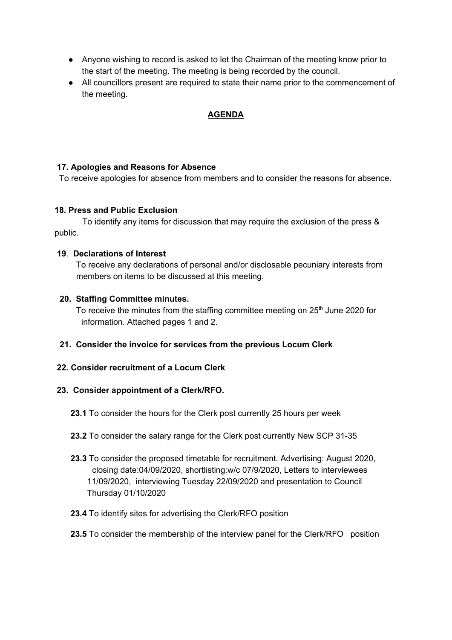- Anyone wishing to record is asked to let the Chairman of the meeting know prior to the start of the meeting. The meeting is being recorded by the council.
- All councillors present are required to state their name prior to the commencement of the meeting.

# **AGENDA**

### **17. Apologies and Reasons for Absence**

To receive apologies for absence from members and to consider the reasons for absence.

### **18. Press and Public Exclusion**

To identify any items for discussion that may require the exclusion of the press & public.

#### **19**. **Declarations of Interest**

To receive any declarations of personal and/or disclosable pecuniary interests from members on items to be discussed at this meeting.

### **20. Staffing Committee minutes.**

To receive the minutes from the staffing committee meeting on 25<sup>th</sup> June 2020 for information. Attached pages 1 and 2.

#### **21. Consider the invoice for services from the previous Locum Clerk**

### **22. Consider recruitment of a Locum Clerk**

#### **23. Consider appointment of a Clerk/RFO.**

- **23.1** To consider the hours for the Clerk post currently 25 hours per week
- **23.2** To consider the salary range for the Clerk post currently New SCP 31-35
- **23.3** To consider the proposed timetable for recruitment. Advertising: August 2020, closing date:04/09/2020, shortlisting:w/c 07/9/2020, Letters to interviewees 11/09/2020, interviewing Tuesday 22/09/2020 and presentation to Council Thursday 01/10/2020
- **23.4** To identify sites for advertising the Clerk/RFO position
- **23.5** To consider the membership of the interview panel for the Clerk/RFO position